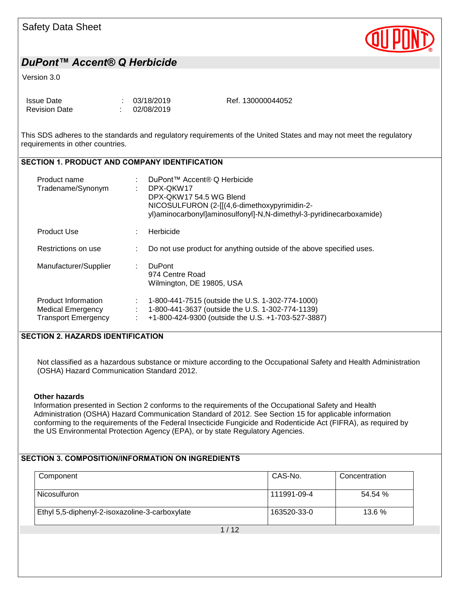

#### Version 3.0

| <b>Issue Date</b>    | : 03/18/2019 | Ref. 130000044052 |
|----------------------|--------------|-------------------|
| <b>Revision Date</b> | 102/08/2019  |                   |

This SDS adheres to the standards and regulatory requirements of the United States and may not meet the regulatory requirements in other countries.

## SECTION 1. PRODUCT AND COMPANY IDENTIFICATION

| Product name<br>Tradename/Synonym                                             |   | DuPont™ Accent® Q Herbicide<br>DPX-QKW17<br>DPX-QKW17 54.5 WG Blend<br>NICOSULFURON (2-[[(4,6-dimethoxypyrimidin-2-<br>yl)aminocarbonyl]aminosulfonyl]-N,N-dimethyl-3-pyridinecarboxamide) |
|-------------------------------------------------------------------------------|---|--------------------------------------------------------------------------------------------------------------------------------------------------------------------------------------------|
| <b>Product Use</b>                                                            |   | Herbicide                                                                                                                                                                                  |
| Restrictions on use                                                           |   | Do not use product for anything outside of the above specified uses.                                                                                                                       |
| Manufacturer/Supplier                                                         | ÷ | <b>DuPont</b><br>974 Centre Road<br>Wilmington, DE 19805, USA                                                                                                                              |
| Product Information<br><b>Medical Emergency</b><br><b>Transport Emergency</b> |   | 1-800-441-7515 (outside the U.S. 1-302-774-1000)<br>1-800-441-3637 (outside the U.S. 1-302-774-1139)<br>+1-800-424-9300 (outside the U.S. +1-703-527-3887)                                 |

### SECTION 2. HAZARDS IDENTIFICATION

Not classified as a hazardous substance or mixture according to the Occupational Safety and Health Administration (OSHA) Hazard Communication Standard 2012.

#### **Other hazards**

Information presented in Section 2 conforms to the requirements of the Occupational Safety and Health Administration (OSHA) Hazard Communication Standard of 2012. See Section 15 for applicable information conforming to the requirements of the Federal Insecticide Fungicide and Rodenticide Act (FIFRA), as required by the US Environmental Protection Agency (EPA), or by state Regulatory Agencies.

### SECTION 3. COMPOSITION/INFORMATION ON INGREDIENTS

| Component                                      | CAS-No.     | Concentration |
|------------------------------------------------|-------------|---------------|
| Nicosulfuron                                   | 111991-09-4 | 54.54 %       |
| Ethyl 5,5-diphenyl-2-isoxazoline-3-carboxylate | 163520-33-0 | 13.6%         |
| 1/12                                           |             |               |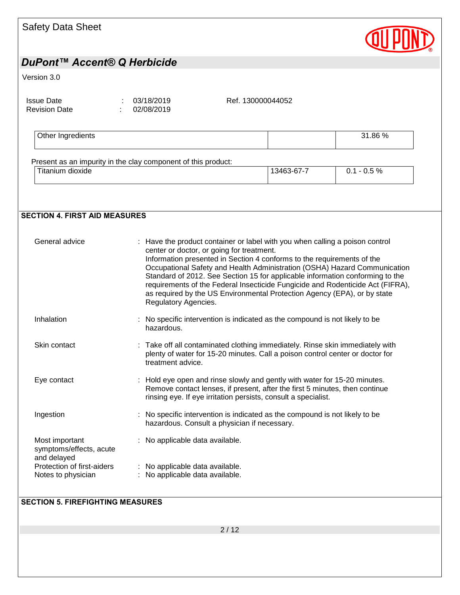| <b>Safety Data Sheet</b>                                 |                                                                                                                             |                                                                                                                                                                                                                                                                                                                                                                                                     |                                                                           |
|----------------------------------------------------------|-----------------------------------------------------------------------------------------------------------------------------|-----------------------------------------------------------------------------------------------------------------------------------------------------------------------------------------------------------------------------------------------------------------------------------------------------------------------------------------------------------------------------------------------------|---------------------------------------------------------------------------|
| DuPont™ Accent® Q Herbicide                              |                                                                                                                             |                                                                                                                                                                                                                                                                                                                                                                                                     |                                                                           |
| Version 3.0                                              |                                                                                                                             |                                                                                                                                                                                                                                                                                                                                                                                                     |                                                                           |
| <b>Issue Date</b><br><b>Revision Date</b>                | 03/18/2019<br>02/08/2019                                                                                                    | Ref. 130000044052                                                                                                                                                                                                                                                                                                                                                                                   |                                                                           |
| Other Ingredients                                        |                                                                                                                             |                                                                                                                                                                                                                                                                                                                                                                                                     | 31.86 %                                                                   |
|                                                          | Present as an impurity in the clay component of this product:                                                               |                                                                                                                                                                                                                                                                                                                                                                                                     |                                                                           |
| Titanium dioxide                                         |                                                                                                                             | 13463-67-7                                                                                                                                                                                                                                                                                                                                                                                          | $0.1 - 0.5 \%$                                                            |
|                                                          |                                                                                                                             |                                                                                                                                                                                                                                                                                                                                                                                                     |                                                                           |
| <b>SECTION 4. FIRST AID MEASURES</b>                     |                                                                                                                             |                                                                                                                                                                                                                                                                                                                                                                                                     |                                                                           |
| General advice                                           | center or doctor, or going for treatment.<br>Regulatory Agencies.                                                           | Have the product container or label with you when calling a poison control<br>Information presented in Section 4 conforms to the requirements of the<br>Standard of 2012. See Section 15 for applicable information conforming to the<br>requirements of the Federal Insecticide Fungicide and Rodenticide Act (FIFRA),<br>as required by the US Environmental Protection Agency (EPA), or by state | Occupational Safety and Health Administration (OSHA) Hazard Communication |
| Inhalation                                               | : No specific intervention is indicated as the compound is not likely to be<br>hazardous.                                   |                                                                                                                                                                                                                                                                                                                                                                                                     |                                                                           |
| Skin contact                                             | : Take off all contaminated clothing immediately. Rinse skin immediately with<br>treatment advice.                          | plenty of water for 15-20 minutes. Call a poison control center or doctor for                                                                                                                                                                                                                                                                                                                       |                                                                           |
| Eye contact                                              | : Hold eye open and rinse slowly and gently with water for 15-20 minutes.                                                   | Remove contact lenses, if present, after the first 5 minutes, then continue<br>rinsing eye. If eye irritation persists, consult a specialist.                                                                                                                                                                                                                                                       |                                                                           |
| Ingestion                                                | : No specific intervention is indicated as the compound is not likely to be<br>hazardous. Consult a physician if necessary. |                                                                                                                                                                                                                                                                                                                                                                                                     |                                                                           |
| Most important<br>symptoms/effects, acute<br>and delayed | No applicable data available.                                                                                               |                                                                                                                                                                                                                                                                                                                                                                                                     |                                                                           |
| Protection of first-aiders<br>Notes to physician         | : No applicable data available.<br>: No applicable data available.                                                          |                                                                                                                                                                                                                                                                                                                                                                                                     |                                                                           |
| <b>SECTION 5. FIREFIGHTING MEASURES</b>                  |                                                                                                                             |                                                                                                                                                                                                                                                                                                                                                                                                     |                                                                           |

 $2/12$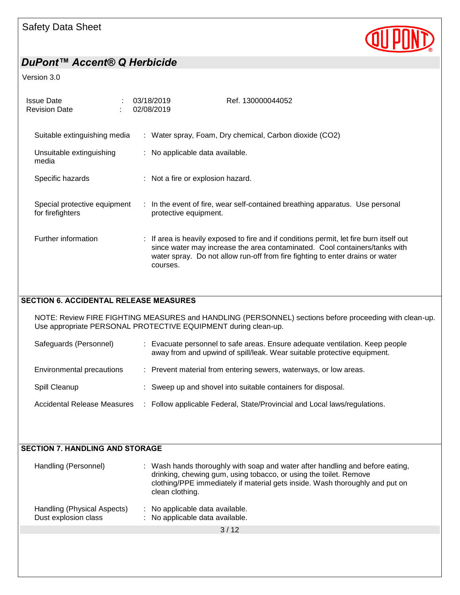

#### Version 3.0

| <b>Issue Date</b><br><b>Revision Date</b>                      | 03/18/2019<br>02/08/2019          | Ref. 130000044052                                                                                                                                                                                                                                      |
|----------------------------------------------------------------|-----------------------------------|--------------------------------------------------------------------------------------------------------------------------------------------------------------------------------------------------------------------------------------------------------|
| Suitable extinguishing media                                   |                                   | : Water spray, Foam, Dry chemical, Carbon dioxide (CO2)                                                                                                                                                                                                |
| Unsuitable extinguishing<br>media                              | : No applicable data available.   |                                                                                                                                                                                                                                                        |
| Specific hazards                                               | : Not a fire or explosion hazard. |                                                                                                                                                                                                                                                        |
| Special protective equipment<br>for firefighters               | protective equipment.             | : In the event of fire, wear self-contained breathing apparatus. Use personal                                                                                                                                                                          |
| Further information                                            | courses.                          | : If area is heavily exposed to fire and if conditions permit, let fire burn itself out<br>since water may increase the area contaminated. Cool containers/tanks with<br>water spray. Do not allow run-off from fire fighting to enter drains or water |
| <b>SECTION 6. ACCIDENTAL RELEASE MEASURES</b>                  |                                   |                                                                                                                                                                                                                                                        |
| Use appropriate PERSONAL PROTECTIVE EQUIPMENT during clean-up. |                                   | NOTE: Review FIRE FIGHTING MEASURES and HANDLING (PERSONNEL) sections before proceeding with clean-up.                                                                                                                                                 |
| Safeguards (Personnel)                                         |                                   | : Evacuate personnel to safe areas. Ensure adequate ventilation. Keep people                                                                                                                                                                           |

| away from and upwind of spill/leak. Wear suitable protective equipment. |  |  |  |
|-------------------------------------------------------------------------|--|--|--|
|                                                                         |  |  |  |

| Environmental precautions |  | Prevent material from entering sewers, waterways, or low areas. |  |  |  |  |  |
|---------------------------|--|-----------------------------------------------------------------|--|--|--|--|--|
|---------------------------|--|-----------------------------------------------------------------|--|--|--|--|--|

- Spill Cleanup : Sweep up and shovel into suitable containers for disposal.
- Accidental Release Measures : Follow applicable Federal, State/Provincial and Local laws/regulations.

| <b>SECTION 7. HANDLING AND STORAGE</b>              |                                                                                                                                                                                                                                                       |
|-----------------------------------------------------|-------------------------------------------------------------------------------------------------------------------------------------------------------------------------------------------------------------------------------------------------------|
| Handling (Personnel)                                | : Wash hands thoroughly with soap and water after handling and before eating,<br>drinking, chewing gum, using tobacco, or using the toilet. Remove<br>clothing/PPE immediately if material gets inside. Wash thoroughly and put on<br>clean clothing. |
| Handling (Physical Aspects)<br>Dust explosion class | No applicable data available.<br>÷<br>No applicable data available.                                                                                                                                                                                   |
|                                                     | 3/12                                                                                                                                                                                                                                                  |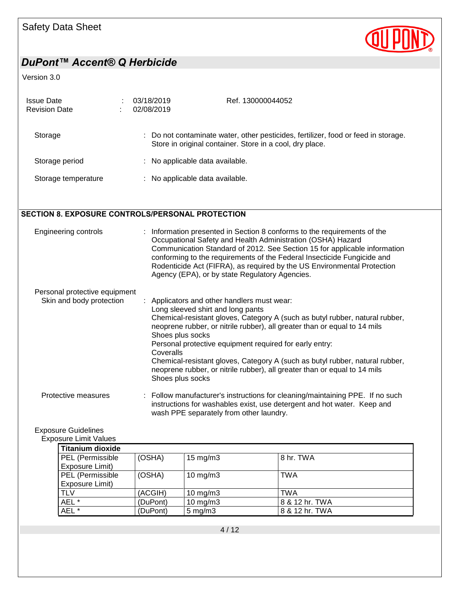

### Version 3.0

| <b>Issue Date</b><br><b>Revision Date</b> | 03/18/2019<br>02/08/2019        | Ref. 130000044052                                                                                                                              |
|-------------------------------------------|---------------------------------|------------------------------------------------------------------------------------------------------------------------------------------------|
| Storage                                   |                                 | : Do not contaminate water, other pesticides, fertilizer, food or feed in storage.<br>Store in original container. Store in a cool, dry place. |
| Storage period                            | : No applicable data available. |                                                                                                                                                |
| Storage temperature                       | : No applicable data available. |                                                                                                                                                |

## SECTION 8. EXPOSURE CONTROLS/PERSONAL PROTECTION

| Engineering controls                                      | : Information presented in Section 8 conforms to the requirements of the<br>Occupational Safety and Health Administration (OSHA) Hazard<br>Communication Standard of 2012. See Section 15 for applicable information<br>conforming to the requirements of the Federal Insecticide Fungicide and<br>Rodenticide Act (FIFRA), as required by the US Environmental Protection<br>Agency (EPA), or by state Regulatory Agencies.                                                                                               |
|-----------------------------------------------------------|----------------------------------------------------------------------------------------------------------------------------------------------------------------------------------------------------------------------------------------------------------------------------------------------------------------------------------------------------------------------------------------------------------------------------------------------------------------------------------------------------------------------------|
| Personal protective equipment<br>Skin and body protection | : Applicators and other handlers must wear:<br>Long sleeved shirt and long pants<br>Chemical-resistant gloves, Category A (such as butyl rubber, natural rubber,<br>neoprene rubber, or nitrile rubber), all greater than or equal to 14 mils<br>Shoes plus socks<br>Personal protective equipment required for early entry:<br>Coveralls<br>Chemical-resistant gloves, Category A (such as butyl rubber, natural rubber,<br>neoprene rubber, or nitrile rubber), all greater than or equal to 14 mils<br>Shoes plus socks |

Protective measures : Follow manufacturer's instructions for cleaning/maintaining PPE. If no such instructions for washables exist, use detergent and hot water. Keep and wash PPE separately from other laundry.

## Exposure Guidelines

Exposure Limit Values

| <b>Titanium dioxide</b> |          |                     |                |
|-------------------------|----------|---------------------|----------------|
| PEL (Permissible        | (OSHA)   | $15 \text{ mg/m}$   | 8 hr. TWA      |
| Exposure Limit)         |          |                     |                |
| PEL (Permissible        | (OSHA)   | 10 mg/m $3$         | <b>TWA</b>     |
| Exposure Limit)         |          |                     |                |
| <b>TLV</b>              | (ACGIH)  | 10 mg/m $3$         | TWA            |
| AEL *                   | (DuPont) | $10 \text{ mg/m}$ 3 | 8 & 12 hr. TWA |
| AEL *                   | (DuPont) | $5 \text{ mg/m}$ 3  | 8 & 12 hr. TWA |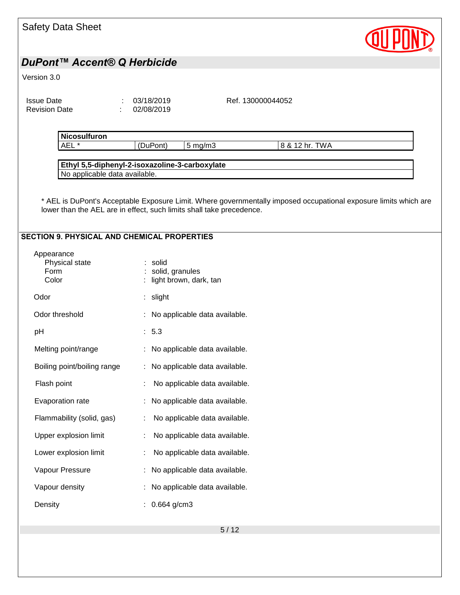| <b>Safety Data Sheet</b>                           |                                                                                                                                                                                          |
|----------------------------------------------------|------------------------------------------------------------------------------------------------------------------------------------------------------------------------------------------|
| DuPont™ Accent® Q Herbicide                        |                                                                                                                                                                                          |
| Version 3.0                                        |                                                                                                                                                                                          |
| <b>Issue Date</b><br><b>Revision Date</b>          | 03/18/2019<br>Ref. 130000044052<br>02/08/2019                                                                                                                                            |
| Nicosulfuron<br>AEL <sup>*</sup>                   | (DuPont)<br>$5$ mg/m $3$<br>8 & 12 hr. TWA                                                                                                                                               |
| No applicable data available.                      | Ethyl 5,5-diphenyl-2-isoxazoline-3-carboxylate                                                                                                                                           |
|                                                    | * AEL is DuPont's Acceptable Exposure Limit. Where governmentally imposed occupational exposure limits which are<br>lower than the AEL are in effect, such limits shall take precedence. |
| <b>SECTION 9. PHYSICAL AND CHEMICAL PROPERTIES</b> |                                                                                                                                                                                          |
| Appearance<br>Physical state<br>Form<br>Color      | : solid<br>: solid, granules<br>light brown, dark, tan                                                                                                                                   |
| Odor                                               | : slight                                                                                                                                                                                 |
| Odor threshold                                     | : No applicable data available.                                                                                                                                                          |
| pH                                                 | : 5.3                                                                                                                                                                                    |
| Melting point/range                                | : No applicable data available.                                                                                                                                                          |
| Boiling point/boiling range                        | : No applicable data available.                                                                                                                                                          |
| Flash point                                        | No applicable data available.                                                                                                                                                            |
| Evaporation rate                                   | No applicable data available.                                                                                                                                                            |
| Flammability (solid, gas)                          | No applicable data available.                                                                                                                                                            |
| Upper explosion limit                              | No applicable data available.                                                                                                                                                            |
| Lower explosion limit                              | No applicable data available.                                                                                                                                                            |
| Vapour Pressure                                    | : No applicable data available.                                                                                                                                                          |
| Vapour density                                     | No applicable data available.                                                                                                                                                            |
| Density                                            | : $0.664$ g/cm3                                                                                                                                                                          |
|                                                    | $5/12$                                                                                                                                                                                   |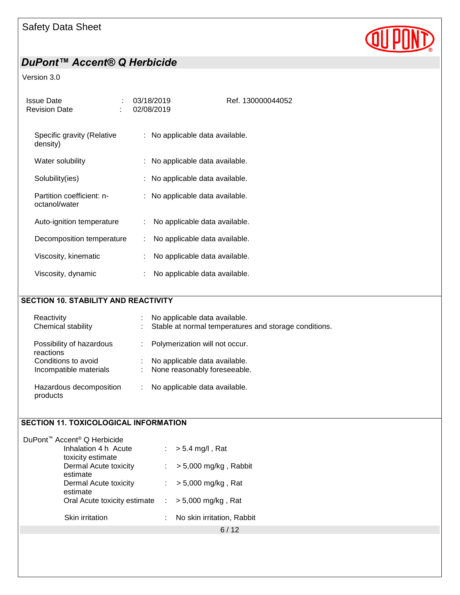

### Version 3.0

| <b>Issue Date</b><br><b>Revision Date</b>  | 03/18/2019<br>02/08/2019            | Ref. 130000044052 |
|--------------------------------------------|-------------------------------------|-------------------|
| Specific gravity (Relative<br>density)     | : No applicable data available.     |                   |
| Water solubility                           | : No applicable data available.     |                   |
| Solubility(ies)                            | : No applicable data available.     |                   |
| Partition coefficient: n-<br>octanol/water | : No applicable data available.     |                   |
| Auto-ignition temperature                  | No applicable data available.<br>÷. |                   |
| Decomposition temperature                  | No applicable data available.<br>÷  |                   |
| Viscosity, kinematic                       | No applicable data available.       |                   |
| Viscosity, dynamic                         | No applicable data available.       |                   |
|                                            |                                     |                   |

## SECTION 10. STABILITY AND REACTIVITY

| Reactivity<br>Chemical stability      | No applicable data available.<br>Stable at normal temperatures and storage conditions. |
|---------------------------------------|----------------------------------------------------------------------------------------|
| Possibility of hazardous<br>reactions | Polymerization will not occur.                                                         |
| Conditions to avoid                   | No applicable data available.                                                          |
| Incompatible materials                | None reasonably foreseeable.                                                           |
| Hazardous decomposition<br>products   | No applicable data available.                                                          |

## SECTION 11. TOXICOLOGICAL INFORMATION

| DuPont <sup>™</sup> Accent <sup>®</sup> Q Herbicide          |    |                            |
|--------------------------------------------------------------|----|----------------------------|
| Inhalation 4 h Acute<br>toxicity estimate                    |    | $:$ > 5.4 mg/l, Rat        |
| Dermal Acute toxicity<br>estimate                            |    | $> 5,000$ mg/kg, Rabbit    |
| Dermal Acute toxicity<br>estimate                            |    | $> 5,000$ mg/kg, Rat       |
| Oral Acute toxicity estimate $\therefore$ > 5,000 mg/kg, Rat |    |                            |
| Skin irritation                                              | ÷. | No skin irritation, Rabbit |
|                                                              |    | 6/12                       |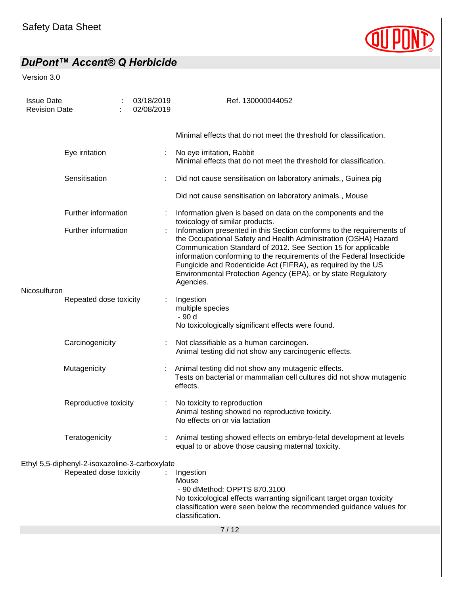

Version 3.0

| <b>Issue Date</b><br><b>Revision Date</b> |                                                |  | 03/18/2019<br>02/08/2019                                                                                                               | Ref. 130000044052                                                                                                                                                                                                                                                                                                                                                                                                                |
|-------------------------------------------|------------------------------------------------|--|----------------------------------------------------------------------------------------------------------------------------------------|----------------------------------------------------------------------------------------------------------------------------------------------------------------------------------------------------------------------------------------------------------------------------------------------------------------------------------------------------------------------------------------------------------------------------------|
|                                           |                                                |  |                                                                                                                                        | Minimal effects that do not meet the threshold for classification.                                                                                                                                                                                                                                                                                                                                                               |
|                                           | Eye irritation                                 |  |                                                                                                                                        | No eye irritation, Rabbit<br>Minimal effects that do not meet the threshold for classification.                                                                                                                                                                                                                                                                                                                                  |
|                                           | Sensitisation                                  |  |                                                                                                                                        | Did not cause sensitisation on laboratory animals., Guinea pig                                                                                                                                                                                                                                                                                                                                                                   |
|                                           |                                                |  |                                                                                                                                        | Did not cause sensitisation on laboratory animals., Mouse                                                                                                                                                                                                                                                                                                                                                                        |
|                                           | Further information                            |  |                                                                                                                                        | Information given is based on data on the components and the<br>toxicology of similar products.                                                                                                                                                                                                                                                                                                                                  |
|                                           | Further information                            |  |                                                                                                                                        | Information presented in this Section conforms to the requirements of<br>the Occupational Safety and Health Administration (OSHA) Hazard<br>Communication Standard of 2012. See Section 15 for applicable<br>information conforming to the requirements of the Federal Insecticide<br>Fungicide and Rodenticide Act (FIFRA), as required by the US<br>Environmental Protection Agency (EPA), or by state Regulatory<br>Agencies. |
| Nicosulfuron                              | Repeated dose toxicity                         |  |                                                                                                                                        | Ingestion                                                                                                                                                                                                                                                                                                                                                                                                                        |
|                                           |                                                |  |                                                                                                                                        | multiple species<br>- 90 d<br>No toxicologically significant effects were found.                                                                                                                                                                                                                                                                                                                                                 |
| Carcinogenicity<br>Mutagenicity           |                                                |  | Not classifiable as a human carcinogen.<br>Animal testing did not show any carcinogenic effects.                                       |                                                                                                                                                                                                                                                                                                                                                                                                                                  |
|                                           |                                                |  | Animal testing did not show any mutagenic effects.<br>Tests on bacterial or mammalian cell cultures did not show mutagenic<br>effects. |                                                                                                                                                                                                                                                                                                                                                                                                                                  |
|                                           | Reproductive toxicity                          |  | ÷                                                                                                                                      | No toxicity to reproduction<br>Animal testing showed no reproductive toxicity.<br>No effects on or via lactation                                                                                                                                                                                                                                                                                                                 |
|                                           | Teratogenicity                                 |  |                                                                                                                                        | Animal testing showed effects on embryo-fetal development at levels<br>equal to or above those causing maternal toxicity.                                                                                                                                                                                                                                                                                                        |
|                                           | Ethyl 5,5-diphenyl-2-isoxazoline-3-carboxylate |  |                                                                                                                                        |                                                                                                                                                                                                                                                                                                                                                                                                                                  |
|                                           | Repeated dose toxicity                         |  |                                                                                                                                        | Ingestion<br>Mouse<br>- 90 dMethod: OPPTS 870.3100<br>No toxicological effects warranting significant target organ toxicity<br>classification were seen below the recommended guidance values for<br>classification.                                                                                                                                                                                                             |
|                                           |                                                |  |                                                                                                                                        | 7/12                                                                                                                                                                                                                                                                                                                                                                                                                             |
|                                           |                                                |  |                                                                                                                                        |                                                                                                                                                                                                                                                                                                                                                                                                                                  |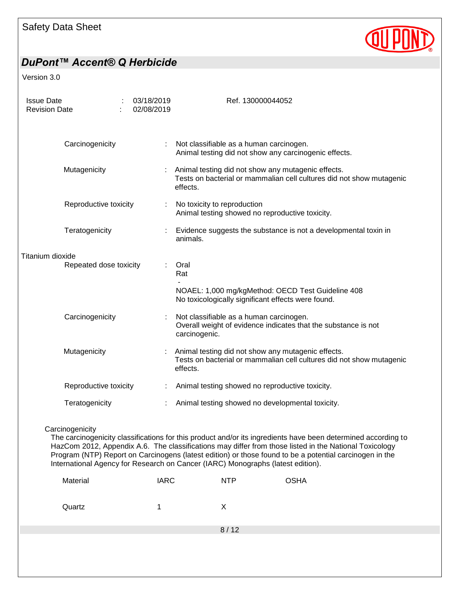

Version 3.0

| <b>Issue Date</b><br><b>Revision Date</b> |                        | 03/18/2019<br>02/08/2019 | Ref. 130000044052                                                                                                                                                                                                                                                                                                                                                                                                     |
|-------------------------------------------|------------------------|--------------------------|-----------------------------------------------------------------------------------------------------------------------------------------------------------------------------------------------------------------------------------------------------------------------------------------------------------------------------------------------------------------------------------------------------------------------|
| Carcinogenicity                           |                        |                          | Not classifiable as a human carcinogen.<br>Animal testing did not show any carcinogenic effects.                                                                                                                                                                                                                                                                                                                      |
| Mutagenicity                              |                        |                          | Animal testing did not show any mutagenic effects.<br>Tests on bacterial or mammalian cell cultures did not show mutagenic<br>effects.                                                                                                                                                                                                                                                                                |
|                                           | Reproductive toxicity  |                          | No toxicity to reproduction<br>Animal testing showed no reproductive toxicity.                                                                                                                                                                                                                                                                                                                                        |
| Teratogenicity                            |                        |                          | Evidence suggests the substance is not a developmental toxin in<br>animals.                                                                                                                                                                                                                                                                                                                                           |
| Titanium dioxide                          |                        |                          |                                                                                                                                                                                                                                                                                                                                                                                                                       |
|                                           | Repeated dose toxicity |                          | Oral<br>Rat                                                                                                                                                                                                                                                                                                                                                                                                           |
|                                           |                        |                          | NOAEL: 1,000 mg/kgMethod: OECD Test Guideline 408<br>No toxicologically significant effects were found.                                                                                                                                                                                                                                                                                                               |
| Carcinogenicity                           |                        |                          | Not classifiable as a human carcinogen.<br>Overall weight of evidence indicates that the substance is not<br>carcinogenic.                                                                                                                                                                                                                                                                                            |
| Mutagenicity                              |                        |                          | Animal testing did not show any mutagenic effects.<br>Tests on bacterial or mammalian cell cultures did not show mutagenic<br>effects.                                                                                                                                                                                                                                                                                |
|                                           | Reproductive toxicity  |                          | Animal testing showed no reproductive toxicity.                                                                                                                                                                                                                                                                                                                                                                       |
|                                           |                        |                          |                                                                                                                                                                                                                                                                                                                                                                                                                       |
| Teratogenicity                            |                        |                          | Animal testing showed no developmental toxicity.                                                                                                                                                                                                                                                                                                                                                                      |
| Carcinogenicity                           |                        |                          | The carcinogenicity classifications for this product and/or its ingredients have been determined according to<br>HazCom 2012, Appendix A.6. The classifications may differ from those listed in the National Toxicology<br>Program (NTP) Report on Carcinogens (latest edition) or those found to be a potential carcinogen in the<br>International Agency for Research on Cancer (IARC) Monographs (latest edition). |
| Material                                  |                        | <b>IARC</b>              | <b>OSHA</b><br><b>NTP</b>                                                                                                                                                                                                                                                                                                                                                                                             |
| Quartz                                    |                        | 1                        | X                                                                                                                                                                                                                                                                                                                                                                                                                     |

8 / 12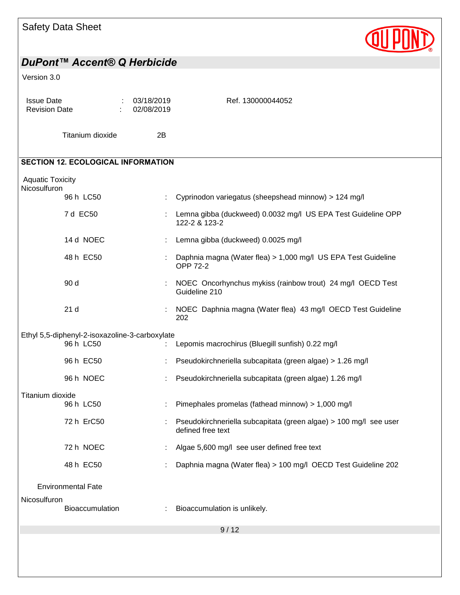| <b>Safety Data Sheet</b>                  |                                                |                            |                                                                                        |
|-------------------------------------------|------------------------------------------------|----------------------------|----------------------------------------------------------------------------------------|
|                                           | DuPont™ Accent® Q Herbicide                    |                            |                                                                                        |
| Version 3.0                               |                                                |                            |                                                                                        |
| <b>Issue Date</b><br><b>Revision Date</b> |                                                | : 03/18/2019<br>02/08/2019 | Ref. 130000044052                                                                      |
|                                           | Titanium dioxide                               | 2B                         |                                                                                        |
|                                           | <b>SECTION 12. ECOLOGICAL INFORMATION</b>      |                            |                                                                                        |
| <b>Aquatic Toxicity</b><br>Nicosulfuron   |                                                |                            |                                                                                        |
|                                           | 96 h LC50                                      |                            | Cyprinodon variegatus (sheepshead minnow) > 124 mg/l                                   |
|                                           | 7 d EC50                                       |                            | Lemna gibba (duckweed) 0.0032 mg/l US EPA Test Guideline OPP<br>122-2 & 123-2          |
|                                           | 14 d NOEC                                      |                            | Lemna gibba (duckweed) 0.0025 mg/l                                                     |
|                                           | 48 h EC50                                      |                            | Daphnia magna (Water flea) > 1,000 mg/l US EPA Test Guideline<br><b>OPP 72-2</b>       |
|                                           | 90 d                                           |                            | NOEC Oncorhynchus mykiss (rainbow trout) 24 mg/l OECD Test<br>Guideline 210            |
|                                           | 21 <sub>d</sub>                                |                            | NOEC Daphnia magna (Water flea) 43 mg/l OECD Test Guideline<br>202                     |
|                                           | Ethyl 5,5-diphenyl-2-isoxazoline-3-carboxylate |                            |                                                                                        |
|                                           | 96 h LC50                                      |                            | Lepomis macrochirus (Bluegill sunfish) 0.22 mg/l                                       |
|                                           | 96 h EC50                                      |                            | Pseudokirchneriella subcapitata (green algae) > 1.26 mg/l                              |
|                                           | 96 h NOEC                                      |                            | Pseudokirchneriella subcapitata (green algae) 1.26 mg/l                                |
| Titanium dioxide                          | 96 h LC50                                      |                            | Pimephales promelas (fathead minnow) > 1,000 mg/l                                      |
|                                           | 72 h ErC50                                     |                            | Pseudokirchneriella subcapitata (green algae) > 100 mg/l see user<br>defined free text |
|                                           | 72 h NOEC                                      |                            | Algae 5,600 mg/l see user defined free text                                            |
|                                           | 48 h EC50                                      |                            | Daphnia magna (Water flea) > 100 mg/l OECD Test Guideline 202                          |
|                                           | <b>Environmental Fate</b>                      |                            |                                                                                        |
| Nicosulfuron                              | Bioaccumulation                                |                            | Bioaccumulation is unlikely.                                                           |
|                                           |                                                |                            | 9/12                                                                                   |
|                                           |                                                |                            |                                                                                        |
|                                           |                                                |                            |                                                                                        |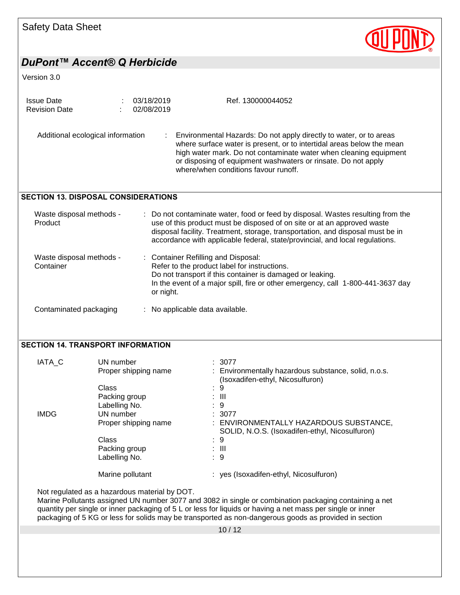| <b>Safety Data Sheet</b> |  |
|--------------------------|--|
|--------------------------|--|



|                                       | DuPont™ Accent® Q Herbicide                        |                                                                                                                                                               |                                                                                                                                                                                                                                                                                                                               |
|---------------------------------------|----------------------------------------------------|---------------------------------------------------------------------------------------------------------------------------------------------------------------|-------------------------------------------------------------------------------------------------------------------------------------------------------------------------------------------------------------------------------------------------------------------------------------------------------------------------------|
| Version 3.0                           |                                                    |                                                                                                                                                               |                                                                                                                                                                                                                                                                                                                               |
| <b>Issue Date</b>                     | 03/18/2019                                         |                                                                                                                                                               | Ref. 130000044052                                                                                                                                                                                                                                                                                                             |
| <b>Revision Date</b>                  | 02/08/2019                                         |                                                                                                                                                               |                                                                                                                                                                                                                                                                                                                               |
|                                       | Additional ecological information                  | where/when conditions favour runoff.                                                                                                                          | Environmental Hazards: Do not apply directly to water, or to areas<br>where surface water is present, or to intertidal areas below the mean<br>high water mark. Do not contaminate water when cleaning equipment<br>or disposing of equipment washwaters or rinsate. Do not apply                                             |
|                                       | <b>SECTION 13. DISPOSAL CONSIDERATIONS</b>         |                                                                                                                                                               |                                                                                                                                                                                                                                                                                                                               |
| Waste disposal methods -<br>Product   |                                                    |                                                                                                                                                               | Do not contaminate water, food or feed by disposal. Wastes resulting from the<br>use of this product must be disposed of on site or at an approved waste<br>disposal facility. Treatment, storage, transportation, and disposal must be in<br>accordance with applicable federal, state/provincial, and local regulations.    |
| Waste disposal methods -<br>Container |                                                    | : Container Refilling and Disposal:<br>Refer to the product label for instructions.<br>Do not transport if this container is damaged or leaking.<br>or night. | In the event of a major spill, fire or other emergency, call 1-800-441-3637 day                                                                                                                                                                                                                                               |
| Contaminated packaging                |                                                    | : No applicable data available.                                                                                                                               |                                                                                                                                                                                                                                                                                                                               |
|                                       | <b>SECTION 14. TRANSPORT INFORMATION</b>           |                                                                                                                                                               |                                                                                                                                                                                                                                                                                                                               |
| IATA_C                                | UN number<br>Proper shipping name                  | : 3077                                                                                                                                                        | : Environmentally hazardous substance, solid, n.o.s.<br>(Isoxadifen-ethyl, Nicosulfuron)                                                                                                                                                                                                                                      |
|                                       | Class<br>Packing group                             | 9<br>Ш                                                                                                                                                        |                                                                                                                                                                                                                                                                                                                               |
| <b>IMDG</b>                           | Labelling No.<br>UN number<br>Proper shipping name | 9<br>3077                                                                                                                                                     | : ENVIRONMENTALLY HAZARDOUS SUBSTANCE,<br>SOLID, N.O.S. (Isoxadifen-ethyl, Nicosulfuron)                                                                                                                                                                                                                                      |
|                                       | Class<br>Packing group                             | 9<br>$\pm$ 111                                                                                                                                                |                                                                                                                                                                                                                                                                                                                               |
|                                       | Labelling No.<br>Marine pollutant                  | 9                                                                                                                                                             | : yes (Isoxadifen-ethyl, Nicosulfuron)                                                                                                                                                                                                                                                                                        |
|                                       | Not regulated as a hazardous material by DOT.      |                                                                                                                                                               |                                                                                                                                                                                                                                                                                                                               |
|                                       |                                                    |                                                                                                                                                               | Marine Pollutants assigned UN number 3077 and 3082 in single or combination packaging containing a net<br>quantity per single or inner packaging of 5 L or less for liquids or having a net mass per single or inner<br>packaging of 5 KG or less for solids may be transported as non-dangerous goods as provided in section |
|                                       |                                                    | 10/12                                                                                                                                                         |                                                                                                                                                                                                                                                                                                                               |
|                                       |                                                    |                                                                                                                                                               |                                                                                                                                                                                                                                                                                                                               |
|                                       |                                                    |                                                                                                                                                               |                                                                                                                                                                                                                                                                                                                               |
|                                       |                                                    |                                                                                                                                                               |                                                                                                                                                                                                                                                                                                                               |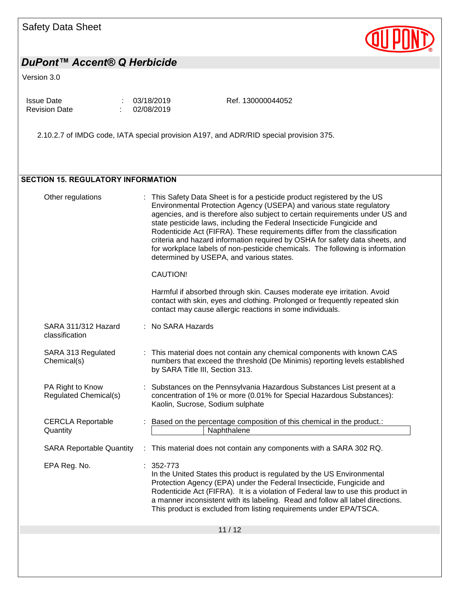# Safety Data Sheet



## *DuPont™ Accent® Q Herbicide*

### Version 3.0

| <b>Issue Date</b>    | : 03/18/2019 |
|----------------------|--------------|
| <b>Revision Date</b> | 02/08/2019   |

Ref. 130000044052

2.10.2.7 of IMDG code, IATA special provision A197, and ADR/RID special provision 375.

#### SECTION 15. REGULATORY INFORMATION

| Other regulations                                | This Safety Data Sheet is for a pesticide product registered by the US<br>Environmental Protection Agency (USEPA) and various state regulatory<br>agencies, and is therefore also subject to certain requirements under US and<br>state pesticide laws, including the Federal Insecticide Fungicide and<br>Rodenticide Act (FIFRA). These requirements differ from the classification<br>criteria and hazard information required by OSHA for safety data sheets, and<br>for workplace labels of non-pesticide chemicals. The following is information<br>determined by USEPA, and various states.<br>CAUTION!<br>Harmful if absorbed through skin. Causes moderate eye irritation. Avoid<br>contact with skin, eyes and clothing. Prolonged or frequently repeated skin<br>contact may cause allergic reactions in some individuals. |
|--------------------------------------------------|---------------------------------------------------------------------------------------------------------------------------------------------------------------------------------------------------------------------------------------------------------------------------------------------------------------------------------------------------------------------------------------------------------------------------------------------------------------------------------------------------------------------------------------------------------------------------------------------------------------------------------------------------------------------------------------------------------------------------------------------------------------------------------------------------------------------------------------|
| SARA 311/312 Hazard<br>classification            | : No SARA Hazards                                                                                                                                                                                                                                                                                                                                                                                                                                                                                                                                                                                                                                                                                                                                                                                                                     |
| SARA 313 Regulated<br>Chemical(s)                | This material does not contain any chemical components with known CAS<br>numbers that exceed the threshold (De Minimis) reporting levels established<br>by SARA Title III, Section 313.                                                                                                                                                                                                                                                                                                                                                                                                                                                                                                                                                                                                                                               |
| PA Right to Know<br><b>Regulated Chemical(s)</b> | : Substances on the Pennsylvania Hazardous Substances List present at a<br>concentration of 1% or more (0.01% for Special Hazardous Substances):<br>Kaolin, Sucrose, Sodium sulphate                                                                                                                                                                                                                                                                                                                                                                                                                                                                                                                                                                                                                                                  |
| <b>CERCLA Reportable</b><br>Quantity             | Based on the percentage composition of this chemical in the product.:<br>Naphthalene                                                                                                                                                                                                                                                                                                                                                                                                                                                                                                                                                                                                                                                                                                                                                  |
| <b>SARA Reportable Quantity</b>                  | : This material does not contain any components with a SARA 302 RQ.                                                                                                                                                                                                                                                                                                                                                                                                                                                                                                                                                                                                                                                                                                                                                                   |
| EPA Reg. No.                                     | $: 352 - 773$<br>In the United States this product is regulated by the US Environmental<br>Protection Agency (EPA) under the Federal Insecticide, Fungicide and<br>Rodenticide Act (FIFRA). It is a violation of Federal law to use this product in<br>a manner inconsistent with its labeling. Read and follow all label directions.<br>This product is excluded from listing requirements under EPA/TSCA.                                                                                                                                                                                                                                                                                                                                                                                                                           |
|                                                  | 11/12                                                                                                                                                                                                                                                                                                                                                                                                                                                                                                                                                                                                                                                                                                                                                                                                                                 |
|                                                  |                                                                                                                                                                                                                                                                                                                                                                                                                                                                                                                                                                                                                                                                                                                                                                                                                                       |